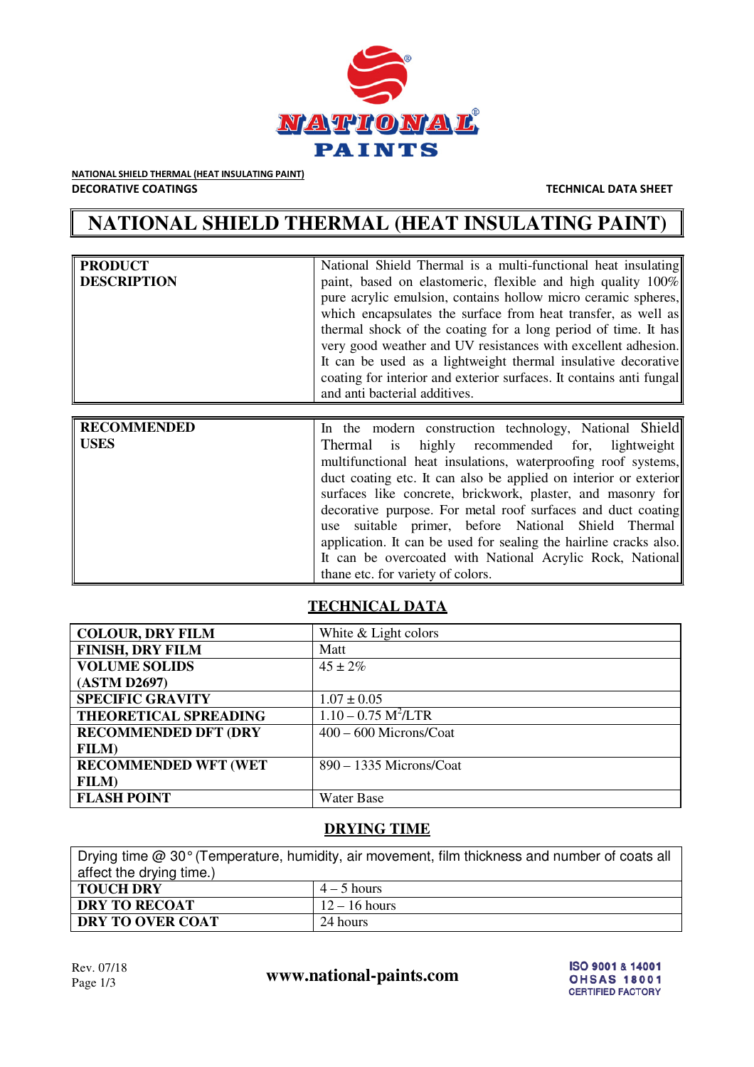

NATIONAL SHIELD THERMAL (HEAT INSULATING PAINT) DECORATIVE COATINGS TECHNICAL DATA SHEET

# **NATIONAL SHIELD THERMAL (HEAT INSULATING PAINT)**

| paint, based on elastomeric, flexible and high quality 100%<br>pure acrylic emulsion, contains hollow micro ceramic spheres,<br>which encapsulates the surface from heat transfer, as well as                                                                                                      |
|----------------------------------------------------------------------------------------------------------------------------------------------------------------------------------------------------------------------------------------------------------------------------------------------------|
| thermal shock of the coating for a long period of time. It has<br>very good weather and UV resistances with excellent adhesion.<br>It can be used as a lightweight thermal insulative decorative<br>coating for interior and exterior surfaces. It contains anti-<br>and anti bacterial additives. |

| <b>RECOMMENDED</b> | In the modern construction technology, National Shield            |
|--------------------|-------------------------------------------------------------------|
| USES               | Thermal is highly recommended for, lightweight                    |
|                    | multifunctional heat insulations, waterproofing roof systems,     |
|                    | duct coating etc. It can also be applied on interior or exterior  |
|                    | surfaces like concrete, brickwork, plaster, and masonry for       |
|                    | decorative purpose. For metal roof surfaces and duct coating      |
|                    | use suitable primer, before National Shield Thermal               |
|                    | application. It can be used for sealing the hairline cracks also. |
|                    | It can be overcoated with National Acrylic Rock, National         |
|                    | thane etc. for variety of colors.                                 |

# **TECHNICAL DATA**

| <b>COLOUR, DRY FILM</b>      | White & Light colors              |
|------------------------------|-----------------------------------|
| <b>FINISH, DRY FILM</b>      | Matt                              |
| <b>VOLUME SOLIDS</b>         | $45 \pm 2\%$                      |
| (ASTM D2697)                 |                                   |
| <b>SPECIFIC GRAVITY</b>      | $1.07 \pm 0.05$                   |
| <b>THEORETICAL SPREADING</b> | $1.10 - 0.75$ M <sup>2</sup> /LTR |
| <b>RECOMMENDED DFT (DRY</b>  | $400 - 600$ Microns/Coat          |
| <b>FILM</b> )                |                                   |
| <b>RECOMMENDED WFT (WET</b>  | 890 – 1335 Microns/Coat           |
| <b>FILM</b> )                |                                   |
| <b>FLASH POINT</b>           | <b>Water Base</b>                 |

### **DRYING TIME**

| Drying time $@30°$ (Temperature, humidity, air movement, film thickness and number of coats all |                 |  |
|-------------------------------------------------------------------------------------------------|-----------------|--|
| affect the drying time.)                                                                        |                 |  |
| <b>TOUCH DRY</b>                                                                                | $4-5$ hours     |  |
| <b>DRY TO RECOAT</b>                                                                            | $12 - 16$ hours |  |
| DRY TO OVER COAT                                                                                | 24 hours        |  |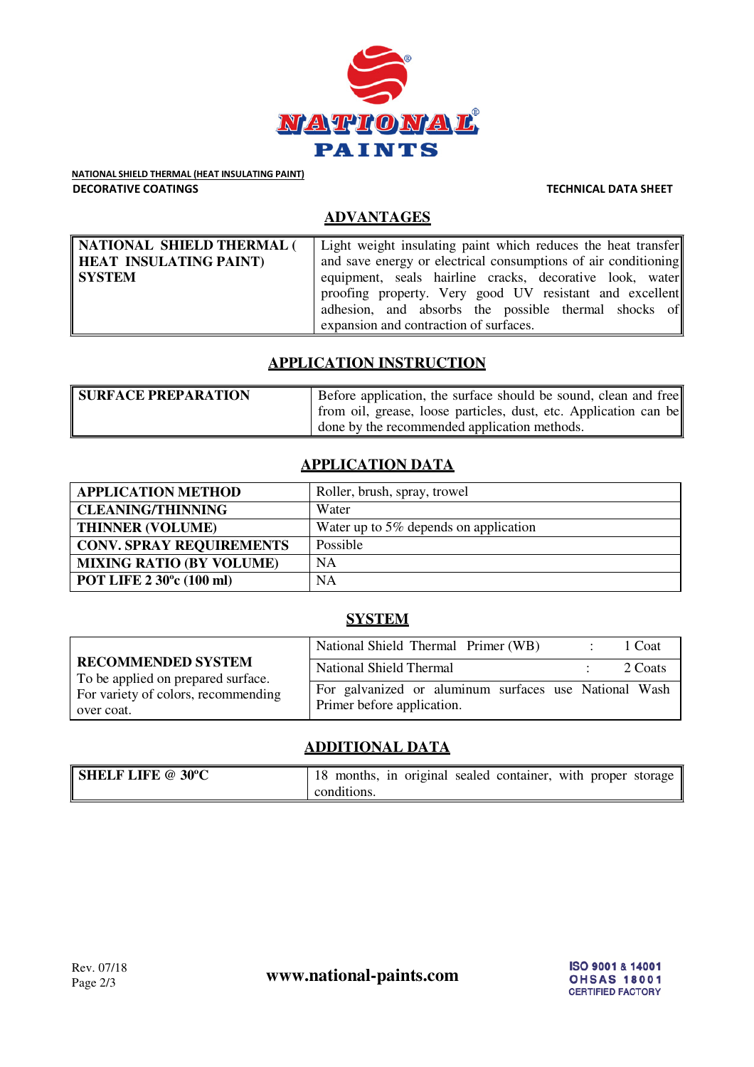

NATIONAL SHIELD THERMAL (HEAT INSULATING PAINT) DECORATIVE COATINGS TECHNICAL DATA SHEET

## **ADVANTAGES**

| NATIONAL SHIELD THERMAL ( | Light weight insulating paint which reduces the heat transfer  |
|---------------------------|----------------------------------------------------------------|
| HEAT INSULATING PAINT)    | and save energy or electrical consumptions of air conditioning |
| SYSTEM                    | equipment, seals hairline cracks, decorative look, water       |
|                           | proofing property. Very good UV resistant and excellent        |
|                           | adhesion, and absorbs the possible thermal shocks of           |
|                           | expansion and contraction of surfaces.                         |

### **APPLICATION INSTRUCTION**

| <b>SURFACE PREPARATION</b> | Before application, the surface should be sound, clean and free  |
|----------------------------|------------------------------------------------------------------|
|                            | from oil, grease, loose particles, dust, etc. Application can be |
|                            | done by the recommended application methods.                     |

# **APPLICATION DATA**

| <b>APPLICATION METHOD</b>       | Roller, brush, spray, trowel          |
|---------------------------------|---------------------------------------|
| <b>CLEANING/THINNING</b>        | Water                                 |
| <b>THINNER (VOLUME)</b>         | Water up to 5% depends on application |
| <b>CONV. SPRAY REQUIREMENTS</b> | Possible                              |
| <b>MIXING RATIO (BY VOLUME)</b> | <b>NA</b>                             |
| POT LIFE 2 30°c (100 ml)        | <b>NA</b>                             |

#### **SYSTEM**

|                                                                 | National Shield Thermal Primer (WB)                                                 | 1 Coat  |
|-----------------------------------------------------------------|-------------------------------------------------------------------------------------|---------|
| <b>RECOMMENDED SYSTEM</b><br>To be applied on prepared surface. | <b>National Shield Thermal</b>                                                      | 2 Coats |
| For variety of colors, recommending<br>over coat.               | For galvanized or aluminum surfaces use National Wash<br>Primer before application. |         |

# **ADDITIONAL DATA**

| <b>SHELF LIFE @ 30°C</b> | 18 months, in original sealed container, with proper storage |  |
|--------------------------|--------------------------------------------------------------|--|
|                          | conditions.                                                  |  |